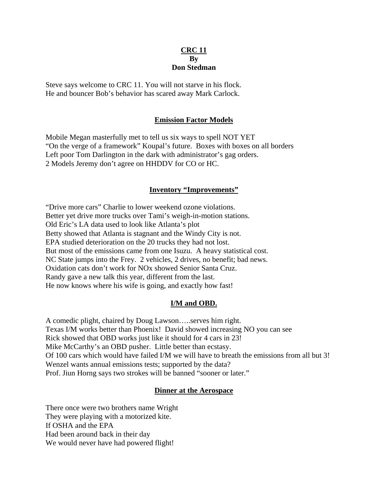# **CRC 11 By Don Stedman**

Steve says welcome to CRC 11. You will not starve in his flock. He and bouncer Bob's behavior has scared away Mark Carlock.

# **Emission Factor Models**

Mobile Megan masterfully met to tell us six ways to spell NOT YET "On the verge of a framework" Koupal's future. Boxes with boxes on all borders Left poor Tom Darlington in the dark with administrator's gag orders. 2 Models Jeremy don't agree on HHDDV for CO or HC.

## **Inventory "Improvements"**

"Drive more cars" Charlie to lower weekend ozone violations. Better yet drive more trucks over Tami's weigh-in-motion stations. Old Eric's LA data used to look like Atlanta's plot Betty showed that Atlanta is stagnant and the Windy City is not. EPA studied deterioration on the 20 trucks they had not lost. But most of the emissions came from one Isuzu. A heavy statistical cost. NC State jumps into the Frey. 2 vehicles, 2 drives, no benefit; bad news. Oxidation cats don't work for NOx showed Senior Santa Cruz. Randy gave a new talk this year, different from the last. He now knows where his wife is going, and exactly how fast!

## **I/M and OBD.**

A comedic plight, chaired by Doug Lawson…..serves him right. Texas I/M works better than Phoenix! David showed increasing NO you can see Rick showed that OBD works just like it should for 4 cars in 23! Mike McCarthy's an OBD pusher. Little better than ecstasy. Of 100 cars which would have failed I/M we will have to breath the emissions from all but 3! Wenzel wants annual emissions tests; supported by the data? Prof. Jiun Horng says two strokes will be banned "sooner or later."

## **Dinner at the Aerospace**

There once were two brothers name Wright They were playing with a motorized kite. If OSHA and the EPA Had been around back in their day We would never have had powered flight!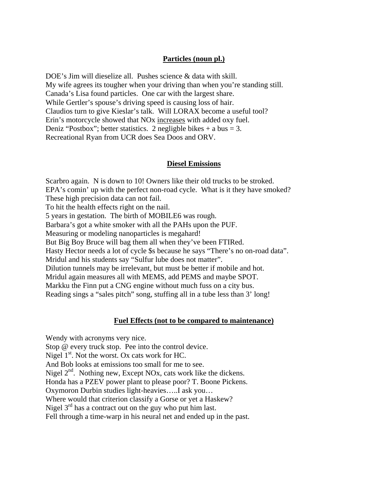# **Particles (noun pl.)**

DOE's Jim will dieselize all. Pushes science & data with skill. My wife agrees its tougher when your driving than when you're standing still. Canada's Lisa found particles. One car with the largest share. While Gertler's spouse's driving speed is causing loss of hair. Claudios turn to give Kieslar's talk. Will LORAX become a useful tool? Erin's motorcycle showed that NOx increases with added oxy fuel. Deniz "Postbox"; better statistics. 2 negligble bikes  $+ a$  bus  $= 3$ . Recreational Ryan from UCR does Sea Doos and ORV.

#### **Diesel Emissions**

Scarbro again. N is down to 10! Owners like their old trucks to be stroked. EPA's comin' up with the perfect non-road cycle. What is it they have smoked? These high precision data can not fail. To hit the health effects right on the nail. 5 years in gestation. The birth of MOBILE6 was rough. Barbara's got a white smoker with all the PAHs upon the PUF. Measuring or modeling nanoparticles is megahard! But Big Boy Bruce will bag them all when they've been FTIRed. Hasty Hector needs a lot of cycle \$s because he says "There's no on-road data". Mridul and his students say "Sulfur lube does not matter". Dilution tunnels may be irrelevant, but must be better if mobile and hot. Mridul again measures all with MEMS, add PEMS and maybe SPOT. Markku the Finn put a CNG engine without much fuss on a city bus. Reading sings a "sales pitch" song, stuffing all in a tube less than 3' long!

### **Fuel Effects (not to be compared to maintenance)**

Wendy with acronyms very nice. Stop @ every truck stop. Pee into the control device. Nigel  $1<sup>st</sup>$ . Not the worst. Ox cats work for HC. And Bob looks at emissions too small for me to see. Nigel  $2<sup>nd</sup>$ . Nothing new, Except NOx, cats work like the dickens. Honda has a PZEV power plant to please poor? T. Boone Pickens. Oxymoron Durbin studies light-heavies…..I ask you… Where would that criterion classify a Gorse or yet a Haskew? Nigel  $3<sup>rd</sup>$  has a contract out on the guy who put him last. Fell through a time-warp in his neural net and ended up in the past.